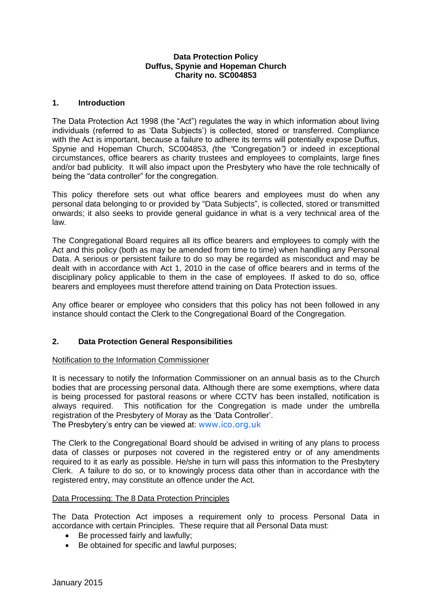### **Data Protection Policy Duffus, Spynie and Hopeman Church Charity no. SC004853**

## **1. Introduction**

The Data Protection Act 1998 (the "Act") regulates the way in which information about living individuals (referred to as 'Data Subjects') is collected, stored or transferred. Compliance with the Act is important, because a failure to adhere its terms will potentially expose Duffus, Spynie and Hopeman Church, SC004853, *(*the *"*Congregation*")* or indeed in exceptional circumstances, office bearers as charity trustees and employees to complaints, large fines and/or bad publicity. It will also impact upon the Presbytery who have the role technically of being the "data controller" for the congregation.

This policy therefore sets out what office bearers and employees must do when any personal data belonging to or provided by "Data Subjects", is collected, stored or transmitted onwards; it also seeks to provide general guidance in what is a very technical area of the law.

The Congregational Board requires all its office bearers and employees to comply with the Act and this policy (both as may be amended from time to time) when handling any Personal Data. A serious or persistent failure to do so may be regarded as misconduct and may be dealt with in accordance with Act 1, 2010 in the case of office bearers and in terms of the disciplinary policy applicable to them in the case of employees. If asked to do so, office bearers and employees must therefore attend training on Data Protection issues.

Any office bearer or employee who considers that this policy has not been followed in any instance should contact the Clerk to the Congregational Board of the Congregation.

## **2. Data Protection General Responsibilities**

### Notification to the Information Commissioner

It is necessary to notify the Information Commissioner on an annual basis as to the Church bodies that are processing personal data. Although there are some exemptions, where data is being processed for pastoral reasons or where CCTV has been installed, notification is always required. This notification for the Congregation is made under the umbrella registration of the Presbytery of Moray as the 'Data Controller'.

The Presbytery's entry can be viewed at: [www.ico.org.uk](http://www.ico.org.uk/)

The Clerk to the Congregational Board should be advised in writing of any plans to process data of classes or purposes not covered in the registered entry or of any amendments required to it as early as possible. He/she in turn will pass this information to the Presbytery Clerk. A failure to do so, or to knowingly process data other than in accordance with the registered entry, may constitute an offence under the Act.

### Data Processing: The 8 Data Protection Principles

The Data Protection Act imposes a requirement only to process Personal Data in accordance with certain Principles. These require that all Personal Data must:

- Be processed fairly and lawfully;
- Be obtained for specific and lawful purposes;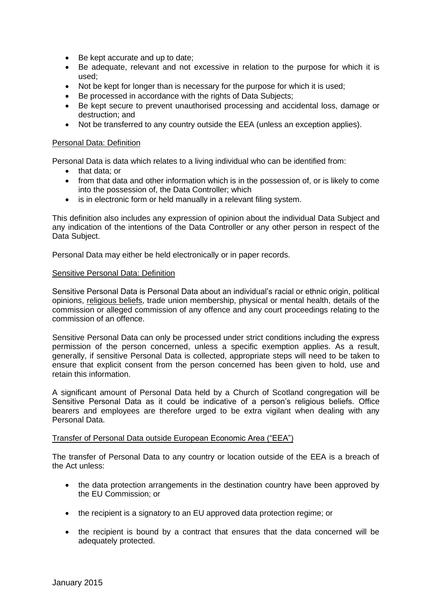- Be kept accurate and up to date;
- Be adequate, relevant and not excessive in relation to the purpose for which it is used;
- Not be kept for longer than is necessary for the purpose for which it is used;
- Be processed in accordance with the rights of Data Subiects:
- Be kept secure to prevent unauthorised processing and accidental loss, damage or destruction; and
- Not be transferred to any country outside the EEA (unless an exception applies).

### Personal Data: Definition

Personal Data is data which relates to a living individual who can be identified from:

- that data; or
- from that data and other information which is in the possession of, or is likely to come into the possession of, the Data Controller; which
- is in electronic form or held manually in a relevant filing system.

This definition also includes any expression of opinion about the individual Data Subject and any indication of the intentions of the Data Controller or any other person in respect of the Data Subject.

Personal Data may either be held electronically or in paper records.

#### Sensitive Personal Data: Definition

Sensitive Personal Data is Personal Data about an individual's racial or ethnic origin, political opinions, religious beliefs, trade union membership, physical or mental health, details of the commission or alleged commission of any offence and any court proceedings relating to the commission of an offence.

Sensitive Personal Data can only be processed under strict conditions including the express permission of the person concerned, unless a specific exemption applies. As a result, generally, if sensitive Personal Data is collected, appropriate steps will need to be taken to ensure that explicit consent from the person concerned has been given to hold, use and retain this information.

A significant amount of Personal Data held by a Church of Scotland congregation will be Sensitive Personal Data as it could be indicative of a person's religious beliefs. Office bearers and employees are therefore urged to be extra vigilant when dealing with any Personal Data.

### Transfer of Personal Data outside European Economic Area ("EEA")

The transfer of Personal Data to any country or location outside of the EEA is a breach of the Act unless:

- the data protection arrangements in the destination country have been approved by the EU Commission; or
- the recipient is a signatory to an EU approved data protection regime; or
- the recipient is bound by a contract that ensures that the data concerned will be adequately protected.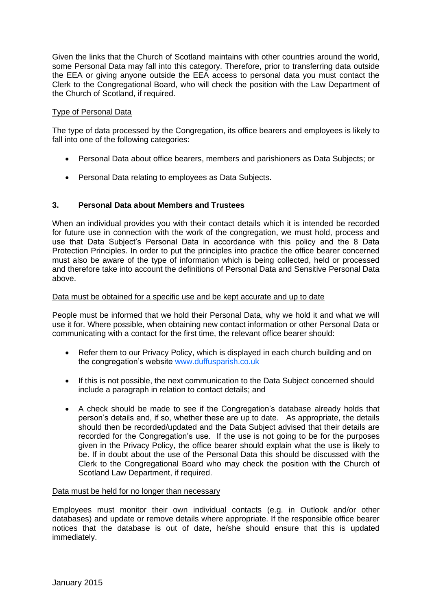Given the links that the Church of Scotland maintains with other countries around the world, some Personal Data may fall into this category. Therefore, prior to transferring data outside the EEA or giving anyone outside the EEA access to personal data you must contact the Clerk to the Congregational Board, who will check the position with the Law Department of the Church of Scotland, if required.

### Type of Personal Data

The type of data processed by the Congregation, its office bearers and employees is likely to fall into one of the following categories:

- Personal Data about office bearers, members and parishioners as Data Subjects; or
- Personal Data relating to employees as Data Subjects.

## **3. Personal Data about Members and Trustees**

When an individual provides you with their contact details which it is intended be recorded for future use in connection with the work of the congregation, we must hold, process and use that Data Subject's Personal Data in accordance with this policy and the 8 Data Protection Principles. In order to put the principles into practice the office bearer concerned must also be aware of the type of information which is being collected, held or processed and therefore take into account the definitions of Personal Data and Sensitive Personal Data above.

### Data must be obtained for a specific use and be kept accurate and up to date

People must be informed that we hold their Personal Data, why we hold it and what we will use it for. Where possible, when obtaining new contact information or other Personal Data or communicating with a contact for the first time, the relevant office bearer should:

- Refer them to our Privacy Policy, which is displayed in each church building and on the congregation's website [www.duffusparish.co.uk](http://www.duffusparish.co.uk/)
- If this is not possible, the next communication to the Data Subject concerned should include a paragraph in relation to contact details; and
- A check should be made to see if the Congregation's database already holds that person's details and, if so, whether these are up to date. As appropriate, the details should then be recorded/updated and the Data Subject advised that their details are recorded for the Congregation's use. If the use is not going to be for the purposes given in the Privacy Policy, the office bearer should explain what the use is likely to be. If in doubt about the use of the Personal Data this should be discussed with the Clerk to the Congregational Board who may check the position with the Church of Scotland Law Department, if required.

### Data must be held for no longer than necessary

Employees must monitor their own individual contacts (e.g. in Outlook and/or other databases) and update or remove details where appropriate. If the responsible office bearer notices that the database is out of date, he/she should ensure that this is updated immediately.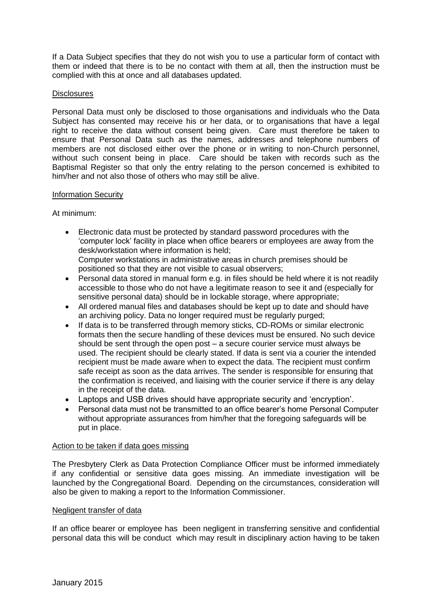If a Data Subject specifies that they do not wish you to use a particular form of contact with them or indeed that there is to be no contact with them at all, then the instruction must be complied with this at once and all databases updated.

### **Disclosures**

Personal Data must only be disclosed to those organisations and individuals who the Data Subject has consented may receive his or her data, or to organisations that have a legal right to receive the data without consent being given. Care must therefore be taken to ensure that Personal Data such as the names, addresses and telephone numbers of members are not disclosed either over the phone or in writing to non-Church personnel, without such consent being in place. Care should be taken with records such as the Baptismal Register so that only the entry relating to the person concerned is exhibited to him/her and not also those of others who may still be alive.

### Information Security

At minimum:

- Electronic data must be protected by standard password procedures with the 'computer lock' facility in place when office bearers or employees are away from the desk/workstation where information is held; Computer workstations in administrative areas in church premises should be positioned so that they are not visible to casual observers;
- Personal data stored in manual form e.g. in files should be held where it is not readily accessible to those who do not have a legitimate reason to see it and (especially for sensitive personal data) should be in lockable storage, where appropriate;
- All ordered manual files and databases should be kept up to date and should have an archiving policy. Data no longer required must be regularly purged;
- If data is to be transferred through memory sticks, CD-ROMs or similar electronic formats then the secure handling of these devices must be ensured. No such device should be sent through the open post – a secure courier service must always be used. The recipient should be clearly stated. If data is sent via a courier the intended recipient must be made aware when to expect the data. The recipient must confirm safe receipt as soon as the data arrives. The sender is responsible for ensuring that the confirmation is received, and liaising with the courier service if there is any delay in the receipt of the data.
- Laptops and USB drives should have appropriate security and 'encryption'.
- Personal data must not be transmitted to an office bearer's home Personal Computer without appropriate assurances from him/her that the foregoing safeguards will be put in place.

### Action to be taken if data goes missing

The Presbytery Clerk as Data Protection Compliance Officer must be informed immediately if any confidential or sensitive data goes missing. An immediate investigation will be launched by the Congregational Board. Depending on the circumstances, consideration will also be given to making a report to the Information Commissioner.

### Negligent transfer of data

If an office bearer or employee has been negligent in transferring sensitive and confidential personal data this will be conduct which may result in disciplinary action having to be taken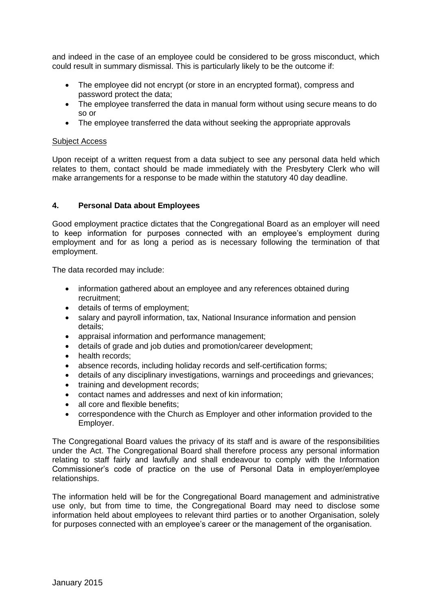and indeed in the case of an employee could be considered to be gross misconduct, which could result in summary dismissal. This is particularly likely to be the outcome if:

- The employee did not encrypt (or store in an encrypted format), compress and password protect the data;
- The employee transferred the data in manual form without using secure means to do so or
- The employee transferred the data without seeking the appropriate approvals

#### Subject Access

Upon receipt of a written request from a data subject to see any personal data held which relates to them, contact should be made immediately with the Presbytery Clerk who will make arrangements for a response to be made within the statutory 40 day deadline.

### **4. Personal Data about Employees**

Good employment practice dictates that the Congregational Board as an employer will need to keep information for purposes connected with an employee's employment during employment and for as long a period as is necessary following the termination of that employment.

The data recorded may include:

- information gathered about an employee and any references obtained during recruitment;
- details of terms of employment;
- salary and payroll information, tax, National Insurance information and pension details;
- appraisal information and performance management;
- details of grade and job duties and promotion/career development:
- health records:
- absence records, including holiday records and self-certification forms;
- details of any disciplinary investigations, warnings and proceedings and grievances;
- training and development records:
- contact names and addresses and next of kin information;
- all core and flexible benefits:
- correspondence with the Church as Employer and other information provided to the Employer.

The Congregational Board values the privacy of its staff and is aware of the responsibilities under the Act. The Congregational Board shall therefore process any personal information relating to staff fairly and lawfully and shall endeavour to comply with the Information Commissioner's code of practice on the use of Personal Data in employer/employee relationships.

The information held will be for the Congregational Board management and administrative use only, but from time to time, the Congregational Board may need to disclose some information held about employees to relevant third parties or to another Organisation, solely for purposes connected with an employee's career or the management of the organisation.